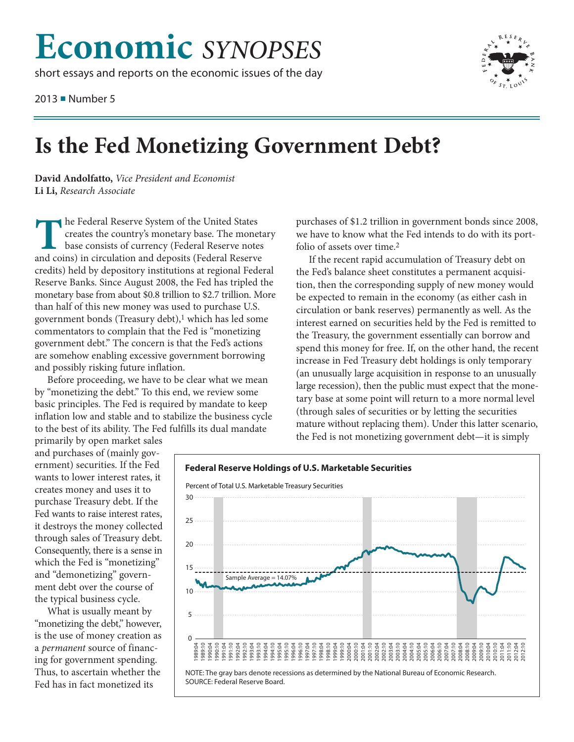## **Economic** SYNOPSES

short essays and reports on the economic issues of the day

2013 Number 5



## Is the Fed Monetizing Government Debt?

David Andolfatto, Vice President and Economist Li Li, Research Associate

he Federal Reserve System of the United States creates the country's monetary base. The monetary base consists of currency (Federal Reserve notes and coins) in circulation and deposits (Federal Reserve credits) held by depository institutions at regional Federal Reserve Banks. Since August 2008, the Fed has tripled the monetary base from about \$0.8 trillion to \$2.7 trillion. More than half of this new money was used to purchase U.S. government bonds (Treasury debt),<sup>1</sup> which has led some commentators to complain that the Fed is "monetizing government debt." The concern is that the Fed's actions are somehow enabling excessive government borrowing and possibly risking future inflation.

Before proceeding, we have to be clear what we mean by "monetizing the debt." To this end, we review some basic principles. The Fed is required by mandate to keep inflation low and stable and to stabilize the business cycle to the best of its ability. The Fed fulfills its dual mandate

purchases of \$1.2 trillion in government bonds since 2008, we have to know what the Fed intends to do with its portfolio of assets over time.<sup>2</sup>

If the recent rapid accumulation of Treasury debt on the Fed's balance sheet constitutes a permanent acquisition, then the corresponding supply of new money would be expected to remain in the economy (as either cash in circulation or bank reserves) permanently as well. As the interest earned on securities held by the Fed is remitted to the Treasury, the government essentially can borrow and spend this money for free. If, on the other hand, the recent increase in Fed Treasury debt holdings is only temporary (an unusually large acquisition in response to an unusually large recession), then the public must expect that the monetary base at some point will return to a more normal level (through sales of securities or by letting the securities mature without replacing them). Under this latter scenario, the Fed is not monetizing government debt-it is simply

primarily by open market sales and purchases of (mainly government) securities. If the Fed wants to lower interest rates, it creates money and uses it to purchase Treasury debt. If the Fed wants to raise interest rates, it destroys the money collected through sales of Treasury debt. Consequently, there is a sense in which the Fed is "monetizing" and "demonetizing" government debt over the course of the typical business cycle.

What is usually meant by "monetizing the debt," however, is the use of money creation as a permanent source of financing for government spending. Thus, to ascertain whether the Fed has in fact monetized its